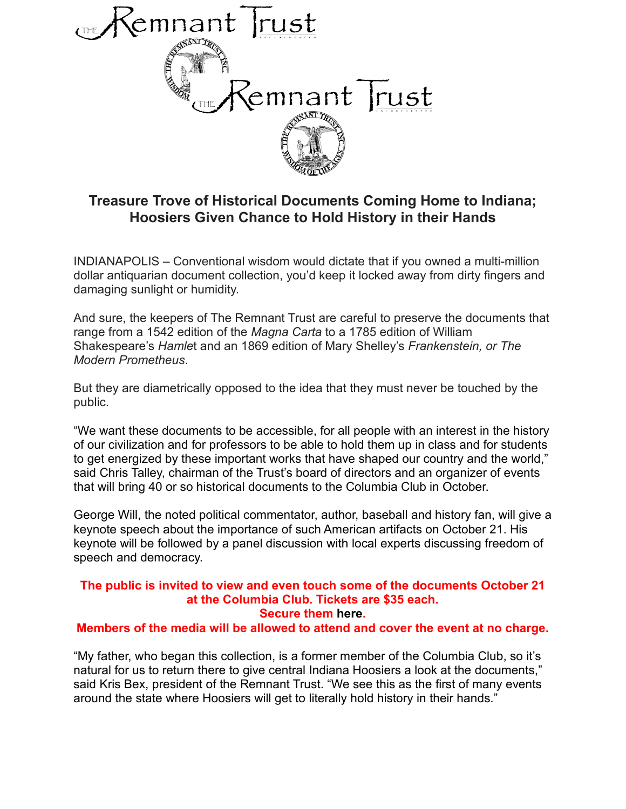

## **Treasure Trove of Historical Documents Coming Home to Indiana; Hoosiers Given Chance to Hold History in their Hands**

INDIANAPOLIS – Conventional wisdom would dictate that if you owned a multi-million dollar antiquarian document collection, you'd keep it locked away from dirty fingers and damaging sunlight or humidity.

And sure, the keepers of The Remnant Trust are careful to preserve the documents that range from a 1542 edition of the *Magna Carta* to a 1785 edition of William Shakespeare's *Hamle*t and an 1869 edition of Mary Shelley's *Frankenstein, or The Modern Prometheus*.

But they are diametrically opposed to the idea that they must never be touched by the public.

"We want these documents to be accessible, for all people with an interest in the history of our civilization and for professors to be able to hold them up in class and for students to get energized by these important works that have shaped our country and the world," said Chris Talley, chairman of the Trust's board of directors and an organizer of events that will bring 40 or so historical documents to the Columbia Club in October.

George Will, the noted political commentator, author, baseball and history fan, will give a keynote speech about the importance of such American artifacts on October 21. His keynote will be followed by a panel discussion with local experts discussing freedom of speech and democracy.

## **The public is invited to view and even touch some of the documents October 21 at the Columbia Club. Tickets are \$35 each. Secure them [here.](https://remnanttrustevents.com/shop)**

## **Members of the media will be allowed to attend and cover the event at no charge.**

"My father, who began this collection, is a former member of the Columbia Club, so it's natural for us to return there to give central Indiana Hoosiers a look at the documents," said Kris Bex, president of the Remnant Trust. "We see this as the first of many events around the state where Hoosiers will get to literally hold history in their hands."